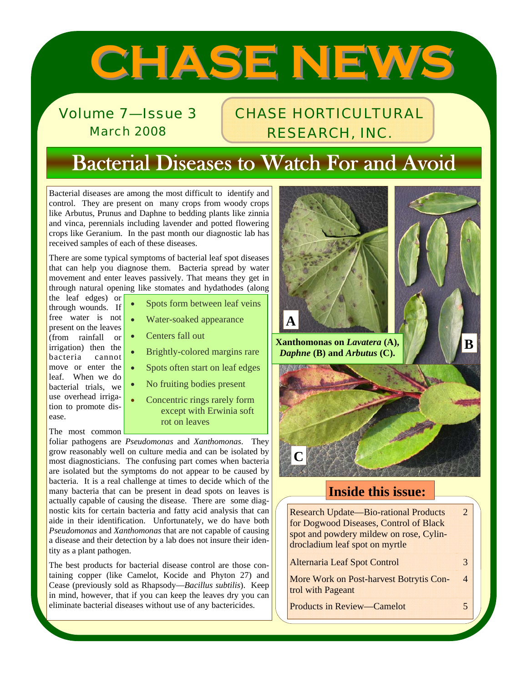# **CHASE NEWS CHASE NEWS**

Volume 7—Issue 3 March 2008

# CHASE HORTICULTURAL RESEARCH, INC.

# Bacterial Diseases to Watch For and Avoid

Bacterial diseases are among the most difficult to identify and control. They are present on many crops from woody crops like Arbutus, Prunus and Daphne to bedding plants like zinnia and vinca, perennials including lavender and potted flowering crops like Geranium. In the past month our diagnostic lab has received samples of each of these diseases.

There are some typical symptoms of bacterial leaf spot diseases that can help you diagnose them. Bacteria spread by water movement and enter leaves passively. That means they get in through natural opening like stomates and hydathodes (along

the leaf edges) or through wounds. If free water is not present on the leaves (from rainfall or irrigation) then the bacteria cannot move or enter the leaf. When we do bacterial trials, we use overhead irrigation to promote disease.

The most common

- Spots form between leaf veins
- Water-soaked appearance
- Centers fall out
	- Brightly-colored margins rare
	- Spots often start on leaf edges
	- No fruiting bodies present
		- Concentric rings rarely form except with Erwinia soft rot on leaves

foliar pathogens are *Pseudomonas* and *Xanthomonas*. They grow reasonably well on culture media and can be isolated by most diagnosticians. The confusing part comes when bacteria are isolated but the symptoms do not appear to be caused by bacteria. It is a real challenge at times to decide which of the many bacteria that can be present in dead spots on leaves is actually capable of causing the disease. There are some diagnostic kits for certain bacteria and fatty acid analysis that can aide in their identification. Unfortunately, we do have both *Pseudomonas* and *Xanthomonas* that are not capable of causing a disease and their detection by a lab does not insure their identity as a plant pathogen.

The best products for bacterial disease control are those containing copper (like Camelot, Kocide and Phyton 27) and Cease (previously sold as Rhapsody—*Bacillus subtilis*). Keep in mind, however, that if you can keep the leaves dry you can eliminate bacterial diseases without use of any bactericides.



# **Inside this issue:**

Research Update—Bio-rational Products for Dogwood Diseases, Control of Black spot and powdery mildew on rose, Cylindrocladium leaf spot on myrtle 2

| <b>Alternaria Leaf Spot Control</b>      | 3 |
|------------------------------------------|---|
| More Work on Post-harvest Botrytis Con-4 |   |
| trol with Pageant                        |   |

Products in Review—Camelot 5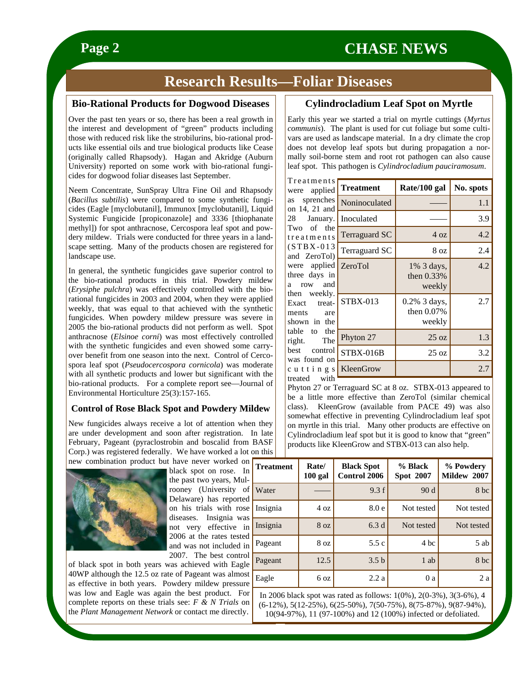# **Research Results—Foliar Diseases**

### **Bio-Rational Products for Dogwood Diseases**

Over the past ten years or so, there has been a real growth in the interest and development of "green" products including those with reduced risk like the strobilurins, bio-rational products like essential oils and true biological products like Cease (originally called Rhapsody). Hagan and Akridge (Auburn University) reported on some work with bio-rational fungicides for dogwood foliar diseases last September.

Neem Concentrate, SunSpray Ultra Fine Oil and Rhapsody (*Bacillus subtilis*) were compared to some synthetic fungicides (Eagle [myclobutanil], Immunox [myclobutanil], Liquid Systemic Fungicide [propiconazole] and 3336 [thiophanate methyl]) for spot anthracnose, Cercospora leaf spot and powdery mildew. Trials were conducted for three years in a landscape setting. Many of the products chosen are registered for landscape use.

In general, the synthetic fungicides gave superior control to the bio-rational products in this trial. Powdery mildew (*Erysiphe pulchra*) was effectively controlled with the biorational fungicides in 2003 and 2004, when they were applied weekly, that was equal to that achieved with the synthetic fungicides. When powdery mildew pressure was severe in 2005 the bio-rational products did not perform as well. Spot anthracnose (*Elsinoe corni*) was most effectively controlled with the synthetic fungicides and even showed some carryover benefit from one season into the next. Control of Cercospora leaf spot (*Pseudocercospora cornicola*) was moderate with all synthetic products and lower but significant with the bio-rational products. For a complete report see—Journal of Environmental Horticulture 25(3):157-165.

### **Control of Rose Black Spot and Powdery Mildew**

New fungicides always receive a lot of attention when they are under development and soon after registration. In late February, Pageant (pyraclostrobin and boscalid from BASF Corp.) was registered federally. We have worked a lot on this new combination product but have never worked on  $\boxed{T}$ 



black spot on rose. In the past two years, Mulrooney (University of Delaware) has reported on his trials with rose diseases. Insignia was not very effective in 2006 at the rates tested and was not included in 2007. The best control

of black spot in both years was achieved with Eagle 40WP although the 12.5 oz rate of Pageant was almost  $\sqrt{F}$ as effective in both years. Powdery mildew pressure was low and Eagle was again the best product. For complete reports on these trials see: *F & N Trials* on the *Plant Management Network* or contact me directly.

### **Cylindrocladium Leaf Spot on Myrtle**

Early this year we started a trial on myrtle cuttings (*Myrtus communis*). The plant is used for cut foliage but some cultivars are used as landscape material. In a dry climate the crop does not develop leaf spots but during propagation a normally soil-borne stem and root rot pathogen can also cause leaf spot. This pathogen is *Cylindrocladium pauciramosum*.

| Treatments                                                      |                      |                                            |           |
|-----------------------------------------------------------------|----------------------|--------------------------------------------|-----------|
| applied<br>were                                                 | <b>Treatment</b>     | Rate/100 gal                               | No. spots |
| sprenches<br>as<br>on 14, 21 and                                | Noninoculated        |                                            | 1.1       |
| 28 January.                                                     | Inoculated           |                                            | 3.9       |
| Two of the<br>treatments                                        | <b>Terraguard SC</b> | 4 oz                                       | 4.2       |
| $(STBX-013$<br>and ZeroTol)                                     | Terraguard SC        | 8 oz                                       | 2.4       |
| were applied<br>three days in<br>and<br>row<br>a                | ZeroTol              | 1% 3 days,<br>then $0.33\%$<br>weekly      | 4.2       |
| then weekly.<br>Exact<br>treat-<br>ments<br>are<br>shown in the | STBX-013             | $0.2\%$ 3 days,<br>then $0.07\%$<br>weekly | 2.7       |
| table to<br>the<br>The<br>right.                                | Phyton 27            | 25 oz                                      | 1.3       |
| best<br>control<br>was found on                                 | STBX-016B            | $25 \text{ oz}$                            | 3.2       |
| cuttings                                                        | KleenGrow            |                                            | 2.7       |
| treated<br>with                                                 |                      |                                            |           |

Phyton 27 or Terraguard SC at 8 oz. STBX-013 appeared to be a little more effective than ZeroTol (similar chemical class). KleenGrow (available from PACE 49) was also somewhat effective in preventing Cylindrocladium leaf spot on myrtle in this trial. Many other products are effective on Cylindrocladium leaf spot but it is good to know that "green" products like KleenGrow and STBX-013 can also help.

| <b>Treatment</b> | Rate/<br>100 gal | <b>Black Spot</b><br>Control 2006 | % Black<br><b>Spot 2007</b> | % Powdery<br>Mildew 2007 |
|------------------|------------------|-----------------------------------|-----------------------------|--------------------------|
| Water            |                  | 9.3 f                             | 90d                         | 8 <sub>bc</sub>          |
| Insignia         | 4 oz             | 8.0 <sub>e</sub>                  | Not tested                  | Not tested               |
| Insignia         | 8 <sub>oz</sub>  | 6.3d                              | Not tested                  | Not tested               |
| Pageant          | 8 oz             | 5.5c                              | 4 bc                        | 5 ab                     |
| Pageant          | 12.5             | 3.5 <sub>b</sub>                  | 1 ab                        | 8 <sub>bc</sub>          |
| Eagle            | 6 <sub>oz</sub>  | 2.2a                              | 0a                          | 2a                       |

In 2006 black spot was rated as follows: 1(0%), 2(0-3%), 3(3-6%), 4 (6-12%), 5(12-25%), 6(25-50%), 7(50-75%), 8(75-87%), 9(87-94%), 10(94-97%), 11 (97-100%) and 12 (100%) infected or defoliated.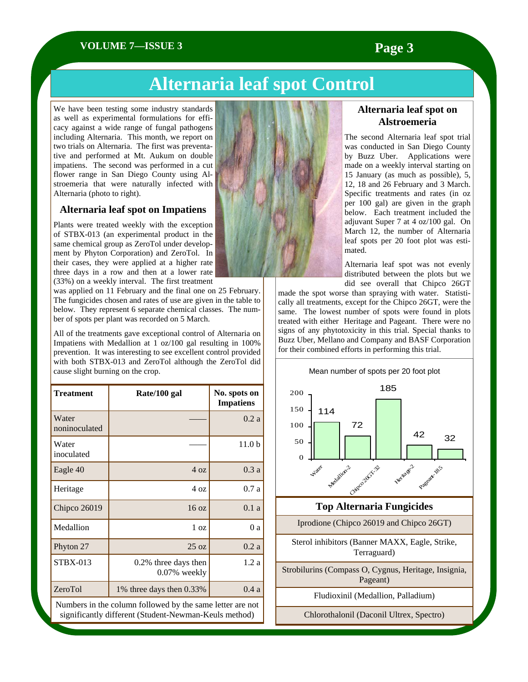### **VOLUME 7—ISSUE 3 Page 3**

# **Alternaria leaf spot Control**

We have been testing some industry standards as well as experimental formulations for efficacy against a wide range of fungal pathogens including Alternaria. This month, we report on two trials on Alternaria. The first was preventative and performed at Mt. Aukum on double impatiens. The second was performed in a cut flower range in San Diego County using Alstroemeria that were naturally infected with Alternaria (photo to right).

### **Alternaria leaf spot on Impatiens**

Plants were treated weekly with the exception of STBX-013 (an experimental product in the same chemical group as ZeroTol under development by Phyton Corporation) and ZeroTol. In their cases, they were applied at a higher rate three days in a row and then at a lower rate (33%) on a weekly interval. The first treatment

was applied on 11 February and the final one on 25 February. The fungicides chosen and rates of use are given in the table to below. They represent 6 separate chemical classes. The number of spots per plant was recorded on 5 March.

All of the treatments gave exceptional control of Alternaria on Impatiens with Medallion at 1 oz/100 gal resulting in 100% prevention. It was interesting to see excellent control provided with both STBX-013 and ZeroTol although the ZeroTol did cause slight burning on the crop.

| <b>Treatment</b>                                          | Rate/100 gal                            | No. spots on<br><b>Impatiens</b> |  |
|-----------------------------------------------------------|-----------------------------------------|----------------------------------|--|
| Water<br>noninoculated                                    |                                         | 0.2a                             |  |
| Water<br>inoculated                                       |                                         | 11.0 <sub>b</sub>                |  |
| Eagle 40                                                  | 4 oz                                    | 0.3a                             |  |
| Heritage                                                  | 4 oz                                    | 0.7a                             |  |
| Chipco 26019                                              | $16 \text{ oz}$                         | 0.1a                             |  |
| Medallion                                                 | 1 <sub>oz</sub>                         | 0a                               |  |
| Phyton 27                                                 | $25 \text{ oz}$                         | 0.2a                             |  |
| <b>STBX-013</b>                                           | 0.2% three days then<br>$0.07\%$ weekly | 1.2a                             |  |
| ZeroTol                                                   | 1% three days then 0.33%                | 0.4a                             |  |
| Numbers in the column followed by the same letter are not |                                         |                                  |  |

significantly different (Student-Newman-Keuls method)



### **Alternaria leaf spot on Alstroemeria**

The second Alternaria leaf spot trial was conducted in San Diego County by Buzz Uber. Applications were made on a weekly interval starting on 15 January (as much as possible), 5, 12, 18 and 26 February and 3 March. Specific treatments and rates (in oz per 100 gal) are given in the graph below. Each treatment included the adjuvant Super 7 at 4 oz/100 gal. On March 12, the number of Alternaria leaf spots per 20 foot plot was estimated.

Alternaria leaf spot was not evenly distributed between the plots but we did see overall that Chipco 26GT

made the spot worse than spraying with water. Statistically all treatments, except for the Chipco 26GT, were the same. The lowest number of spots were found in plots treated with either Heritage and Pageant. There were no signs of any phytotoxicity in this trial. Special thanks to Buzz Uber, Mellano and Company and BASF Corporation for their combined efforts in performing this trial.

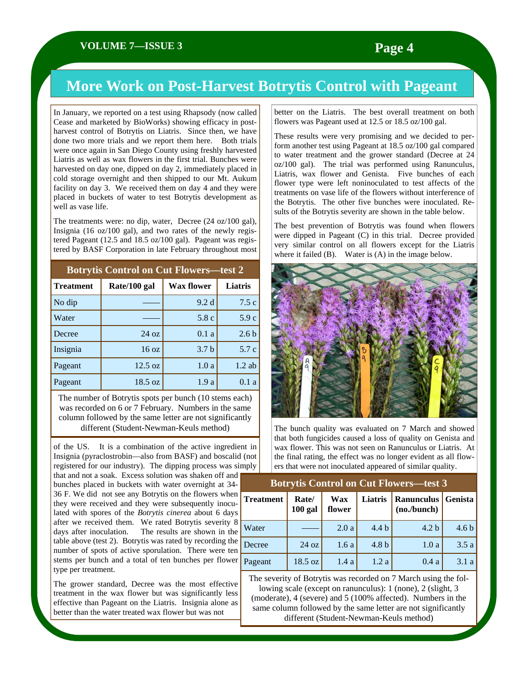# **More Work on Post-Harvest Botrytis Control with Pageant**

In January, we reported on a test using Rhapsody (now called Cease and marketed by BioWorks) showing efficacy in postharvest control of Botrytis on Liatris. Since then, we have done two more trials and we report them here. Both trials were once again in San Diego County using freshly harvested Liatris as well as wax flowers in the first trial. Bunches were harvested on day one, dipped on day 2, immediately placed in cold storage overnight and then shipped to our Mt. Aukum facility on day 3. We received them on day 4 and they were placed in buckets of water to test Botrytis development as well as vase life.

The treatments were: no dip, water, Decree (24 oz/100 gal), Insignia (16 oz/100 gal), and two rates of the newly registered Pageant (12.5 and 18.5 oz/100 gal). Pageant was registered by BASF Corporation in late February throughout most

| <b>Botrytis Control on Cut Flowers—test 2</b> |                 |                   |                  |
|-----------------------------------------------|-----------------|-------------------|------------------|
| <b>Treatment</b>                              | Rate/100 gal    | <b>Wax flower</b> | Liatris          |
| No dip                                        |                 | 9.2d              | 7.5c             |
| Water                                         |                 | 5.8c              | 5.9c             |
| Decree                                        | $24 \text{ oz}$ | 0.1a              | 2.6 <sub>b</sub> |
| Insignia                                      | 16 oz           | 3.7 <sub>b</sub>  | 5.7 c            |
| Pageant                                       | 12.5 oz         | 1.0a              | $1.2$ ab         |
| Pageant                                       | 18.5 oz         | 1.9a              | 0.1a             |

The number of Botrytis spots per bunch (10 stems each) was recorded on 6 or 7 February. Numbers in the same column followed by the same letter are not significantly different (Student-Newman-Keuls method)

of the US. It is a combination of the active ingredient in Insignia (pyraclostrobin—also from BASF) and boscalid (not registered for our industry). The dipping process was simply

that and not a soak. Excess solution was shaken off and bunches placed in buckets with water overnight at 34- 36 F. We did not see any Botrytis on the flowers when they were received and they were subsequently inoculated with spores of the *Botrytis cinerea* about 6 days after we received them. We rated Botrytis severity 8 days after inoculation. The results are shown in the table above (test 2). Botrytis was rated by recording the number of spots of active sporulation. There were ten stems per bunch and a total of ten bunches per flower type per treatment.

The grower standard, Decree was the most effective treatment in the wax flower but was significantly less effective than Pageant on the Liatris. Insignia alone as better than the water treated wax flower but was not

better on the Liatris. The best overall treatment on both flowers was Pageant used at 12.5 or 18.5 oz/100 gal.

These results were very promising and we decided to perform another test using Pageant at 18.5 oz/100 gal compared to water treatment and the grower standard (Decree at 24 oz/100 gal). The trial was performed using Ranunculus, Liatris, wax flower and Genista. Five bunches of each flower type were left noninoculated to test affects of the treatments on vase life of the flowers without interference of the Botrytis. The other five bunches were inoculated. Results of the Botrytis severity are shown in the table below.

The best prevention of Botrytis was found when flowers were dipped in Pageant (C) in this trial. Decree provided very similar control on all flowers except for the Liatris where it failed (B). Water is (A) in the image below.



The bunch quality was evaluated on 7 March and showed that both fungicides caused a loss of quality on Genista and wax flower. This was not seen on Ranunculus or Liatris. At the final rating, the effect was no longer evident as all flowers that were not inoculated appeared of similar quality.

| <b>Botrytis Control on Cut Flowers-test 3</b> |                    |               |                  |                             |                  |
|-----------------------------------------------|--------------------|---------------|------------------|-----------------------------|------------------|
| <b>Treatment</b>                              | Rate/<br>$100$ gal | Wax<br>flower | Liatris          | Ranunculus<br>(no. / bunch) | Genista          |
| Water                                         |                    | 2.0a          | 4.4 <sub>b</sub> | 4.2 <sub>b</sub>            | 4.6 <sub>b</sub> |
| Decree                                        | $24 \text{ oz}$    | 1.6a          | 4.8 <sub>b</sub> | 1.0a                        | 3.5a             |
| Pageant                                       | 18.5 oz            | 1.4a          | 1.2a             | 0.4a                        | 3.1a             |

The severity of Botrytis was recorded on 7 March using the following scale (except on ranunculus): 1 (none), 2 (slight, 3 (moderate), 4 (severe) and 5 (100% affected). Numbers in the same column followed by the same letter are not significantly different (Student-Newman-Keuls method)